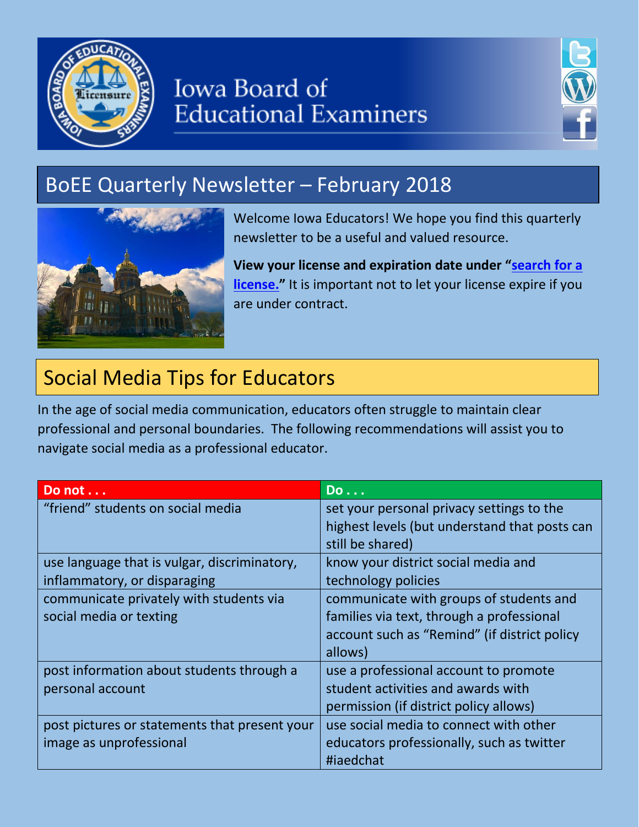

# Iowa Board of Educational Examiners



# BoEE Quarterly Newsletter – February 2018



 newsletter to be a useful and valued resource. Welcome Iowa Educators! We hope you find this quarterly

 **View your license and expiration date under "[search for a](https://www.iowaonline.state.ia.us/boee/)  [license.](https://www.iowaonline.state.ia.us/boee/)"** It is important not to let your license expire if you are under contract.

## Social Media Tips for Educators

 In the age of social media communication, educators often struggle to maintain clear professional and personal boundaries. The following recommendations will assist you to navigate social media as a professional educator.

| Do not                                        | <u>Do</u>                                     |
|-----------------------------------------------|-----------------------------------------------|
| "friend" students on social media             | set your personal privacy settings to the     |
|                                               | highest levels (but understand that posts can |
|                                               | still be shared)                              |
| use language that is vulgar, discriminatory,  | know your district social media and           |
| inflammatory, or disparaging                  | technology policies                           |
| communicate privately with students via       | communicate with groups of students and       |
| social media or texting                       | families via text, through a professional     |
|                                               | account such as "Remind" (if district policy  |
|                                               | allows)                                       |
| post information about students through a     | use a professional account to promote         |
| personal account                              | student activities and awards with            |
|                                               | permission (if district policy allows)        |
| post pictures or statements that present your | use social media to connect with other        |
| image as unprofessional                       | educators professionally, such as twitter     |
|                                               | #iaedchat                                     |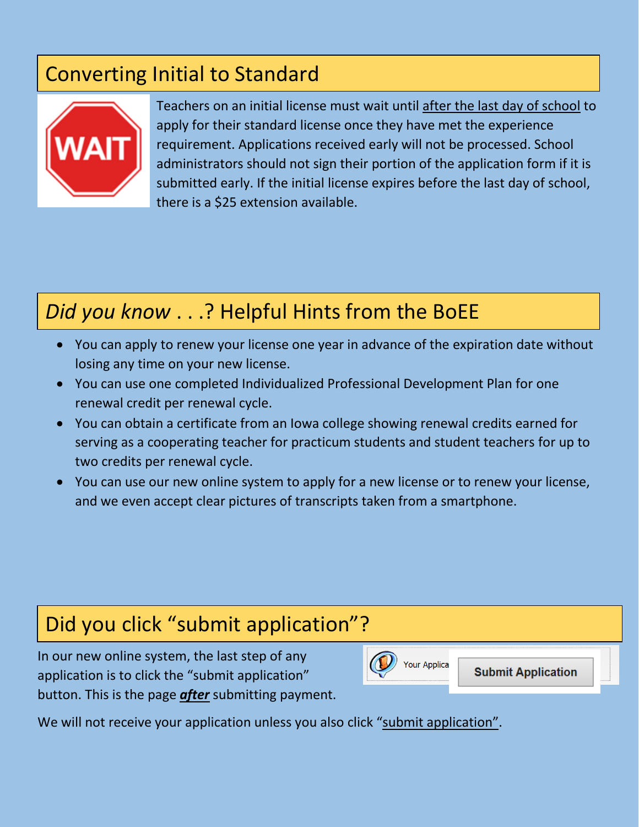## Converting Initial to Standard



Teachers on an initial license must wait until after the last day of school to apply for their standard license once they have met the experience administrators should not sign their portion of the application form if it is submitted early. If the initial license expires before the last day of school, requirement. Applications received early will not be processed. School there is a \$25 extension available.

## *Did you know* . . .? Helpful Hints from the BoEE

- You can apply to renew your license one year in advance of the expiration date without losing any time on your new license.
- You can use one completed Individualized Professional Development Plan for one renewal credit per renewal cycle.
- You can obtain a certificate from an Iowa college showing renewal credits earned for serving as a cooperating teacher for practicum students and student teachers for up to two credits per renewal cycle.
- You can use our new online system to apply for a new license or to renew your license, and we even accept clear pictures of transcripts taken from a smartphone.

#### Did you click "submit application"?

 In our new online system, the last step of any button. This is the page *after* submitting payment. application is to click the "submit application"



**Submit Application** 

We will not receive your application unless you also click "submit application".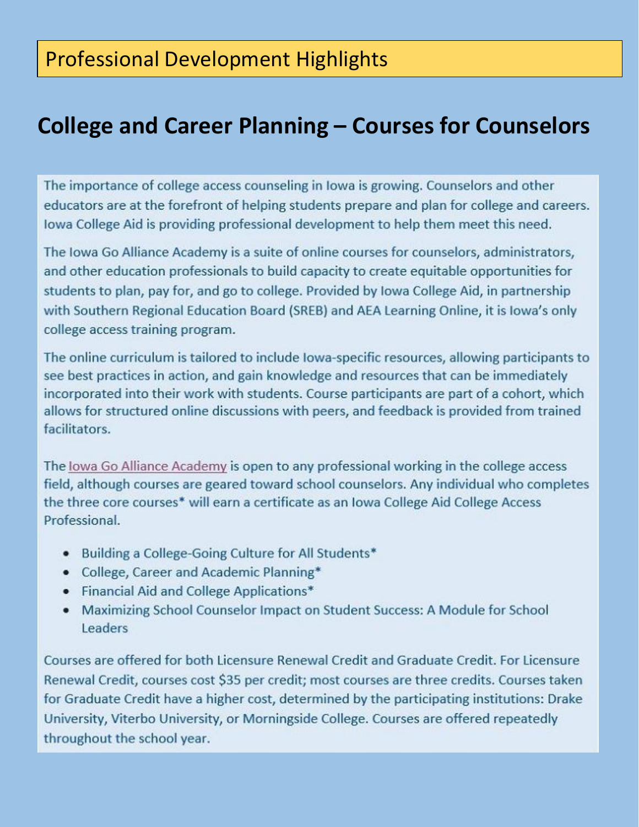### Professional Development Highlights

### **College and Career Planning – Courses for Counselors**

The importance of college access counseling in Iowa is growing. Counselors and other educators are at the forefront of helping students prepare and plan for college and careers. Iowa College Aid is providing professional development to help them meet this need.

The Iowa Go Alliance Academy is a suite of online courses for counselors, administrators, and other education professionals to build capacity to create equitable opportunities for students to plan, pay for, and go to college. Provided by Iowa College Aid, in partnership with Southern Regional Education Board (SREB) and AEA Learning Online, it is lowa's only college access training program.

The online curriculum is tailored to include lowa-specific resources, allowing participants to see best practices in action, and gain knowledge and resources that can be immediately incorporated into their work with students. Course participants are part of a cohort, which allows for structured online discussions with peers, and feedback is provided from trained facilitators.

The Iowa Go Alliance Academy is open to any professional working in the college access field, although courses are geared toward school counselors. Any individual who completes the three core courses\* will earn a certificate as an Iowa College Aid College Access Professional.

- Building a College-Going Culture for All Students\*
- College, Career and Academic Planning\*
- Financial Aid and College Applications\*
- Maximizing School Counselor Impact on Student Success: A Module for School Leaders

Courses are offered for both Licensure Renewal Credit and Graduate Credit. For Licensure Renewal Credit, courses cost \$35 per credit; most courses are three credits. Courses taken for Graduate Credit have a higher cost, determined by the participating institutions: Drake University, Viterbo University, or Morningside College. Courses are offered repeatedly throughout the school year.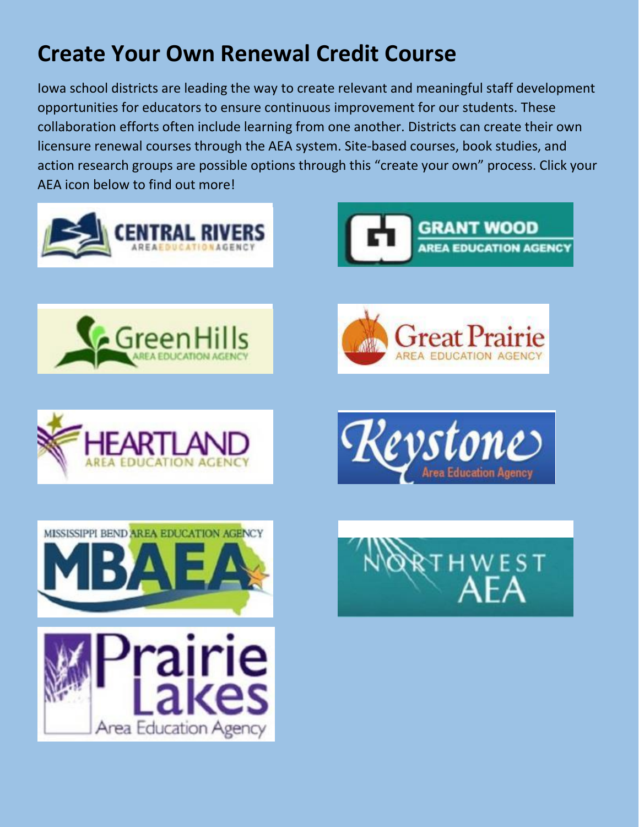# **Create Your Own Renewal Credit Course**

 Iowa school districts are leading the way to create relevant and meaningful staff development collaboration efforts often include learning from one another. Districts can create their own licensure renewal courses through the AEA system. Site-based courses, book studies, and action research groups are possible options through this "create your own" process. Click your AEA icon below to find out more! opportunities for educators to ensure continuous improvement for our students. These

















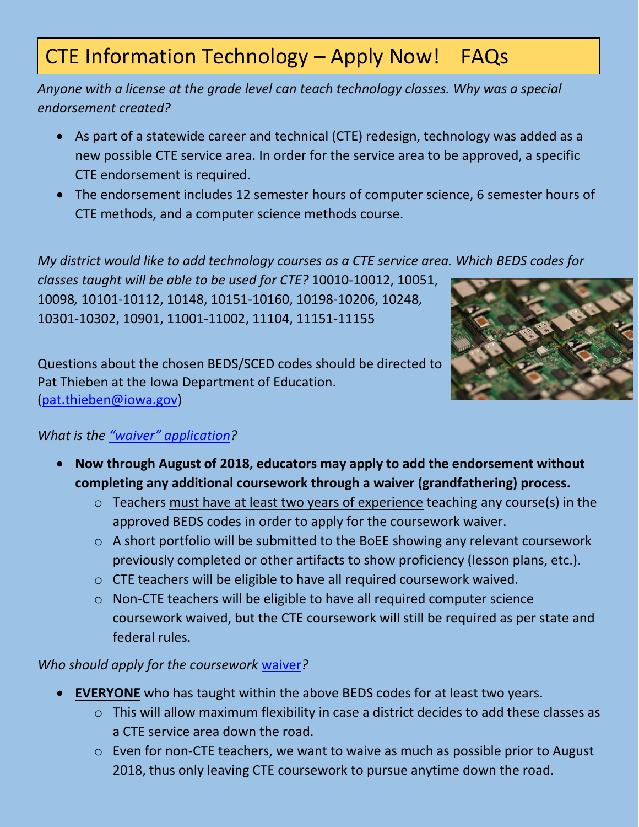## CTE Information Technology – Apply Now! FAQs

 *Anyone with a license at the grade level can teach technology classes. Why was a special endorsement created?* 

- As part of a statewide career and technical (CTE) redesign, technology was added as a new possible CTE service area. In order for the service area to be approved, a specific CTE endorsement is required.
- The endorsement includes 12 semester hours of computer science, 6 semester hours of CTE methods, and a computer science methods course.

 *My district would like to add technology courses as a CTE service area. Which BEDS codes for* 

 *classes taught will be able to be used for CTE?* 10010-10012, 10051, 10098*,* 10101-10112, 10148, 10151-10160, 10198-10206, 10248*,*  10301-10302, 10901, 11001-11002, 11104, 11151-11155



 Questions about the chosen BEDS/SCED codes should be directed to Pat Thieben at the Iowa Department of Education. [\(pat.thieben@iowa.gov\)](mailto:pat.thieben@iowa.gov)

#### *What is the ["waiver" application](http://www.boee.iowa.gov/CTEInfoTechWaiver.pdf)?*

- **Now through August of 2018, educators may apply to add the endorsement without completing any additional coursework through a waiver (grandfathering) process.** 
	- o Teachers must have at least two years of experience teaching any course(s) in the approved BEDS codes in order to apply for the coursework waiver.
	- $\circ$  A short portfolio will be submitted to the BoEE showing any relevant coursework previously completed or other artifacts to show proficiency (lesson plans, etc.).
	- o CTE teachers will be eligible to have all required coursework waived.
	- federal rules. o Non-CTE teachers will be eligible to have all required computer science coursework waived, but the CTE coursework will still be required as per state and

#### *Who should apply for the coursework* [waiver](http://www.boee.iowa.gov/CTEInfoTechWaiver.pdf)*?*

- **EVERYONE** who has taught within the above BEDS codes for at least two years.
	- a CTE service area down the road. o This will allow maximum flexibility in case a district decides to add these classes as
	- o Even for non-CTE teachers, we want to waive as much as possible prior to August 2018, thus only leaving CTE coursework to pursue anytime down the road.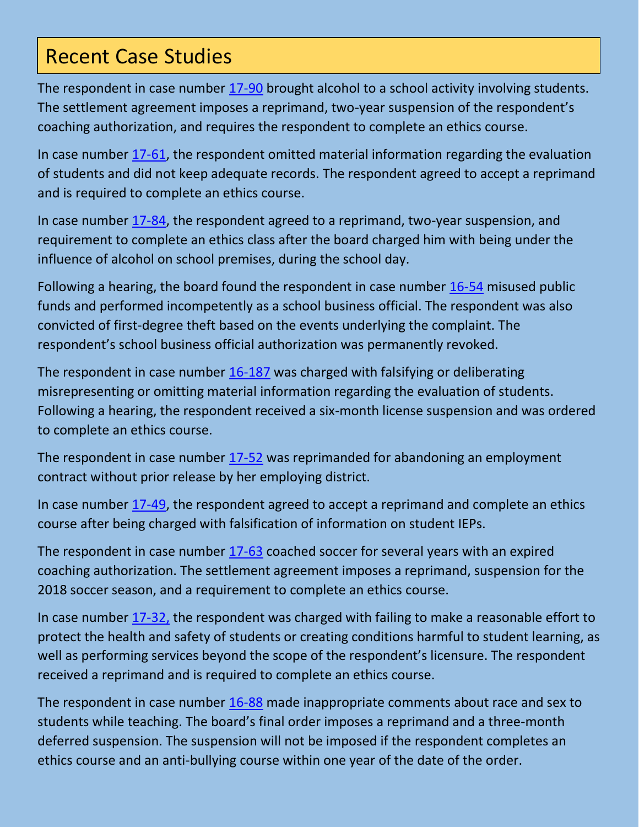#### Recent Case Studies

 The settlement agreement imposes a reprimand, two-year suspension of the respondent's coaching authorization, and requires the respondent to complete an ethics course. The respondent in case number [17-90](http://www.boee.iowa.gov/board/orders/2017/17-90.pdf) brought alcohol to a school activity involving students.

 of students and did not keep adequate records. The respondent agreed to accept a reprimand and is required to complete an ethics course. In case number [17-61,](http://www.boee.iowa.gov/board/orders/2017/17-61.pdf) the respondent omitted material information regarding the evaluation

In case number [17-84,](http://www.boee.iowa.gov/board/orders/2017/17-84.pdf) the respondent agreed to a reprimand, two-year suspension, and requirement to complete an ethics class after the board charged him with being under the influence of alcohol on school premises, during the school day.

Following a hearing, the board found the respondent in case number [16-54](http://www.boee.iowa.gov/board/orders/2016/16-54.pdf) misused public funds and performed incompetently as a school business official. The respondent was also convicted of first-degree theft based on the events underlying the complaint. The respondent's school business official authorization was permanently revoked.

The respondent in case number [16-187](http://www.boee.iowa.gov/board/orders/2016/16-187.pdf) was charged with falsifying or deliberating misrepresenting or omitting material information regarding the evaluation of students. Following a hearing, the respondent received a six-month license suspension and was ordered to complete an ethics course.

The respondent in case number [17-52](http://www.boee.iowa.gov/board/orders/2017/17-52.pdf) was reprimanded for abandoning an employment contract without prior release by her employing district.

In case number [17-49,](http://www.boee.iowa.gov/board/orders/2017/17-49.pdf) the respondent agreed to accept a reprimand and complete an ethics course after being charged with falsification of information on student IEPs.

The respondent in case number [17-63](http://www.boee.iowa.gov/board/orders/2017/17-63.pdf) coached soccer for several years with an expired coaching authorization. The settlement agreement imposes a reprimand, suspension for the 2018 soccer season, and a requirement to complete an ethics course.

In case number  $17-32$ , the respondent was charged with failing to make a reasonable effort to protect the health and safety of students or creating conditions harmful to student learning, as well as performing services beyond the scope of the respondent's licensure. The respondent received a reprimand and is required to complete an ethics course.

The respondent in case number [16-88](http://www.boee.iowa.gov/board/orders/2016/16-88.pdf) made inappropriate comments about race and sex to students while teaching. The board's final order imposes a reprimand and a three-month deferred suspension. The suspension will not be imposed if the respondent completes an ethics course and an anti-bullying course within one year of the date of the order.